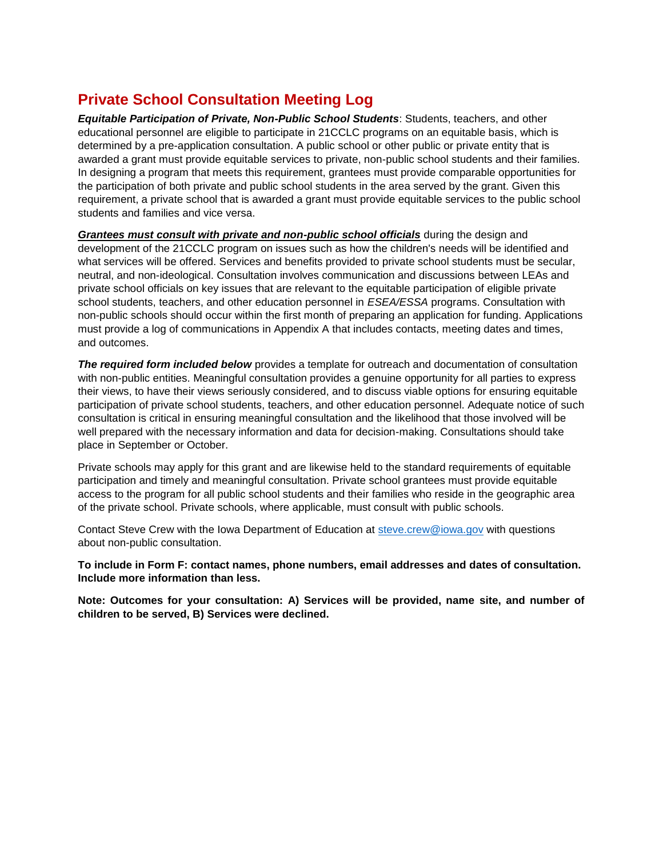## **Private School Consultation Meeting Log**

*Equitable Participation of Private, Non-Public School Students*: Students, teachers, and other educational personnel are eligible to participate in 21CCLC programs on an equitable basis, which is determined by a pre-application consultation. A public school or other public or private entity that is awarded a grant must provide equitable services to private, non-public school students and their families. In designing a program that meets this requirement, grantees must provide comparable opportunities for the participation of both private and public school students in the area served by the grant. Given this requirement, a private school that is awarded a grant must provide equitable services to the public school students and families and vice versa.

*Grantees must consult with private and non-public school officials* **during the design and** development of the 21CCLC program on issues such as how the children's needs will be identified and what services will be offered. Services and benefits provided to private school students must be secular, neutral, and non-ideological. Consultation involves communication and discussions between LEAs and private school officials on key issues that are relevant to the equitable participation of eligible private school students, teachers, and other education personnel in *ESEA/ESSA* programs. Consultation with non-public schools should occur within the first month of preparing an application for funding. Applications must provide a log of communications in Appendix A that includes contacts, meeting dates and times, and outcomes.

**The required form included below** provides a template for outreach and documentation of consultation with non-public entities. Meaningful consultation provides a genuine opportunity for all parties to express their views, to have their views seriously considered, and to discuss viable options for ensuring equitable participation of private school students, teachers, and other education personnel. Adequate notice of such consultation is critical in ensuring meaningful consultation and the likelihood that those involved will be well prepared with the necessary information and data for decision-making. Consultations should take place in September or October.

Private schools may apply for this grant and are likewise held to the standard requirements of equitable participation and timely and meaningful consultation. Private school grantees must provide equitable access to the program for all public school students and their families who reside in the geographic area of the private school. Private schools, where applicable, must consult with public schools.

Contact Steve Crew with the Iowa Department of Education at [steve.crew@iowa.gov](mailto:steve.crew@iowa.gov) with questions about non-public consultation.

**To include in Form F: contact names, phone numbers, email addresses and dates of consultation. Include more information than less.** 

**Note: Outcomes for your consultation: A) Services will be provided, name site, and number of children to be served, B) Services were declined.**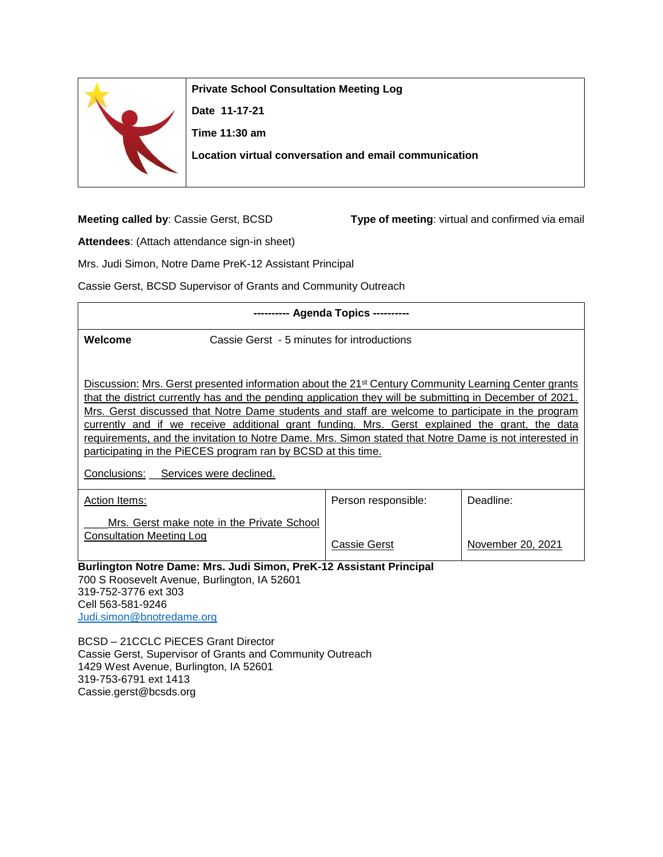

**Private School Consultation Meeting Log**

**Date 11-17-21 Time 11:30 am**

**Location virtual conversation and email communication**

**Meeting called by**: Cassie Gerst, BCSD **Type of meeting**: virtual and confirmed via email

**Attendees**: (Attach attendance sign-in sheet)

Mrs. Judi Simon, Notre Dame PreK-12 Assistant Principal

Cassie Gerst, BCSD Supervisor of Grants and Community Outreach

| --------- Agenda Topics ---------                                                                                                                                                                                                                                                                                                                                                                                                                                                                                                                                                                              |                                                                                                                     |                     |                   |  |
|----------------------------------------------------------------------------------------------------------------------------------------------------------------------------------------------------------------------------------------------------------------------------------------------------------------------------------------------------------------------------------------------------------------------------------------------------------------------------------------------------------------------------------------------------------------------------------------------------------------|---------------------------------------------------------------------------------------------------------------------|---------------------|-------------------|--|
| Welcome                                                                                                                                                                                                                                                                                                                                                                                                                                                                                                                                                                                                        | Cassie Gerst - 5 minutes for introductions                                                                          |                     |                   |  |
| Discussion: Mrs. Gerst presented information about the 21 <sup>st</sup> Century Community Learning Center grants<br>that the district currently has and the pending application they will be submitting in December of 2021.<br>Mrs. Gerst discussed that Notre Dame students and staff are welcome to participate in the program<br>currently and if we receive additional grant funding. Mrs. Gerst explained the grant, the data<br>requirements, and the invitation to Notre Dame. Mrs. Simon stated that Notre Dame is not interested in<br>participating in the PIECES program ran by BCSD at this time. |                                                                                                                     |                     |                   |  |
| Conclusions:<br>Services were declined.                                                                                                                                                                                                                                                                                                                                                                                                                                                                                                                                                                        |                                                                                                                     |                     |                   |  |
| <b>Action Items:</b>                                                                                                                                                                                                                                                                                                                                                                                                                                                                                                                                                                                           |                                                                                                                     | Person responsible: | Deadline:         |  |
| <b>Consultation Meeting Log</b>                                                                                                                                                                                                                                                                                                                                                                                                                                                                                                                                                                                | Mrs. Gerst make note in the Private School                                                                          | Cassie Gerst        | November 20, 2021 |  |
| 319-752-3776 ext 303                                                                                                                                                                                                                                                                                                                                                                                                                                                                                                                                                                                           | Burlington Notre Dame: Mrs. Judi Simon, PreK-12 Assistant Principal<br>700 S Roosevelt Avenue, Burlington, IA 52601 |                     |                   |  |

Cell 563-581-9246 [Judi.simon@bnotredame.org](mailto:Judi.simon@bnotredame.org)

BCSD – 21CCLC PiECES Grant Director Cassie Gerst, Supervisor of Grants and Community Outreach 1429 West Avenue, Burlington, IA 52601 319-753-6791 ext 1413 Cassie.gerst@bcsds.org